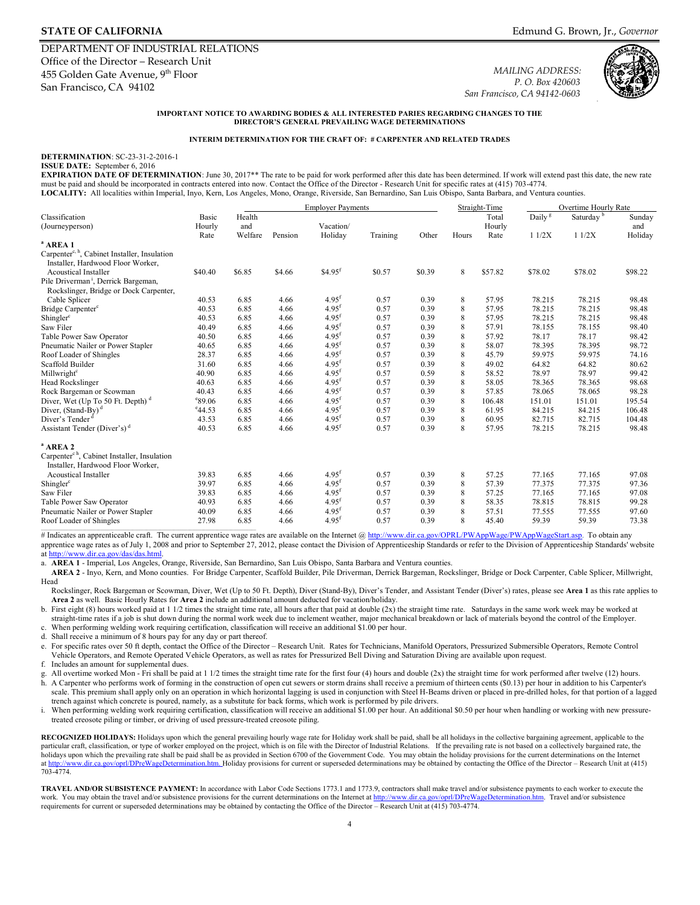# **STATE OF CALIFORNIA**

DEPARTMENT OF INDUSTRIAL RELATIONS Office of the Director – Research Unit 455 Golden Gate Avenue, 9<sup>th</sup> Floor San Francisco, CA 94102

*MAILING ADDRESS: P. O. Box 420603 San Francisco, CA 94142-0603* 



**IMPORTANT NOTICE TO AWARDING BODIES & ALL INTERESTED PARIES REGARDING CHANGES TO THE DIRECTOR'S GENERAL PREVAILING WAGE DETERMINATIONS** 

#### **INTERIM DETERMINATION FOR THE CRAFT OF: # CARPENTER AND RELATED TRADES**

#### **DETERMINATION**: SC-23-31-2-2016-1 **ISSUE DATE:** September 6, 2016

**EXPIRATION DATE OF DETERMINATION**: June 30, 2017<sup>\*\*</sup> The rate to be paid for work performed after this date has been determined. If work will extend past this date, the new rate must be paid and should be incorporated in contracts entered into now. Contact the Office of the Director - Research Unit for specific rates at (415) 703-4774.

**LOCALITY:** All localities within Imperial, Inyo, Kern, Los Angeles, Mono, Orange, Riverside, San Bernardino, San Luis Obispo, Santa Barbara, and Ventura counties.

|                                                                                              |                  |         |         | <b>Employer Payments</b> |          |        | Straight-Time |         | Overtime Hourly Rate |                       |         |
|----------------------------------------------------------------------------------------------|------------------|---------|---------|--------------------------|----------|--------|---------------|---------|----------------------|-----------------------|---------|
| Classification                                                                               | Basic            | Health  |         |                          |          |        |               | Total   | Daily <sup>g</sup>   | Saturday <sup>b</sup> | Sunday  |
| (Journeyperson)                                                                              | Hourly           | and     |         | Vacation/                |          |        |               | Hourly  |                      |                       | and     |
|                                                                                              | Rate             | Welfare | Pension | Holiday                  | Training | Other  | Hours         | Rate    | 11/2X                | 11/2X                 | Holiday |
| $^a$ AREA 1                                                                                  |                  |         |         |                          |          |        |               |         |                      |                       |         |
| Carpenter <sup>c, h</sup> , Cabinet Installer, Insulation                                    |                  |         |         |                          |          |        |               |         |                      |                       |         |
| Installer, Hardwood Floor Worker,                                                            |                  |         |         |                          |          |        |               |         |                      |                       |         |
| <b>Acoustical Installer</b>                                                                  | \$40.40          | \$6.85  | \$4.66  | $$4.95$ <sup>f</sup>     | \$0.57   | \$0.39 | 8             | \$57.82 | \$78.02              | \$78.02               | \$98.22 |
| Pile Driverman <sup>i</sup> , Derrick Bargeman,                                              |                  |         |         |                          |          |        |               |         |                      |                       |         |
| Rockslinger, Bridge or Dock Carpenter,                                                       |                  |         |         |                          |          |        |               |         |                      |                       |         |
| Cable Splicer                                                                                | 40.53            | 6.85    | 4.66    | $4.95$ <sup>f</sup>      | 0.57     | 0.39   | 8             | 57.95   | 78.215               | 78.215                | 98.48   |
| Bridge Carpenter <sup>c</sup>                                                                | 40.53            | 6.85    | 4.66    | $4.95$ <sup>f</sup>      | 0.57     | 0.39   | 8             | 57.95   | 78.215               | 78.215                | 98.48   |
| Shingler <sup>c</sup>                                                                        | 40.53            | 6.85    | 4.66    | $4.95$ <sup>f</sup>      | 0.57     | 0.39   | 8             | 57.95   | 78.215               | 78.215                | 98.48   |
| Saw Filer                                                                                    | 40.49            | 6.85    | 4.66    | $4.95$ <sup>f</sup>      | 0.57     | 0.39   | 8             | 57.91   | 78.155               | 78.155                | 98.40   |
| Table Power Saw Operator                                                                     | 40.50            | 6.85    | 4.66    | $4.95$ <sup>f</sup>      | 0.57     | 0.39   | 8             | 57.92   | 78.17                | 78.17                 | 98.42   |
| Pneumatic Nailer or Power Stapler                                                            | 40.65            | 6.85    | 4.66    | 4.95 <sup>f</sup>        | 0.57     | 0.39   | 8             | 58.07   | 78.395               | 78.395                | 98.72   |
| Roof Loader of Shingles                                                                      | 28.37            | 6.85    | 4.66    | 4.95 <sup>f</sup>        | 0.57     | 0.39   | 8             | 45.79   | 59.975               | 59.975                | 74.16   |
| Scaffold Builder                                                                             | 31.60            | 6.85    | 4.66    | $4.95$ <sup>f</sup>      | 0.57     | 0.39   | 8             | 49.02   | 64.82                | 64.82                 | 80.62   |
| Millwright <sup>c</sup>                                                                      | 40.90            | 6.85    | 4.66    | 4.95 <sup>f</sup>        | 0.57     | 0.59   | 8             | 58.52   | 78.97                | 78.97                 | 99.42   |
| Head Rockslinger                                                                             | 40.63            | 6.85    | 4.66    | $4.95$ <sup>f</sup>      | 0.57     | 0.39   | 8             | 58.05   | 78.365               | 78.365                | 98.68   |
| Rock Bargeman or Scowman                                                                     | 40.43            | 6.85    | 4.66    | $4.95$ <sup>f</sup>      | 0.57     | 0.39   | 8             | 57.85   | 78.065               | 78.065                | 98.28   |
| Diver, Wet (Up To 50 Ft. Depth) $d$                                                          | 89.06            | 6.85    | 4.66    | $4.95$ <sup>f</sup>      | 0.57     | 0.39   | 8             | 106.48  | 151.01               | 151.01                | 195.54  |
| Diver, $(Stand-By)$ <sup>d</sup>                                                             | $^{\rm e}$ 44.53 | 6.85    | 4.66    | $4.95$ <sup>f</sup>      | 0.57     | 0.39   | 8             | 61.95   | 84.215               | 84.215                | 106.48  |
| Diver's Tender                                                                               | 43.53            | 6.85    | 4.66    | $4.95$ <sup>f</sup>      | 0.57     | 0.39   | 8             | 60.95   | 82.715               | 82.715                | 104.48  |
| Assistant Tender (Diver's) <sup>d</sup>                                                      | 40.53            | 6.85    | 4.66    | $4.95$ <sup>f</sup>      | 0.57     | 0.39   | 8             | 57.95   | 78.215               | 78.215                | 98.48   |
| $^a$ AREA 2                                                                                  |                  |         |         |                          |          |        |               |         |                      |                       |         |
| Carpenter <sup>ch</sup> , Cabinet Installer, Insulation<br>Installer, Hardwood Floor Worker, |                  |         |         |                          |          |        |               |         |                      |                       |         |
| <b>Acoustical Installer</b>                                                                  | 39.83            | 6.85    | 4.66    | 4.95 <sup>f</sup>        | 0.57     | 0.39   | 8             | 57.25   | 77.165               | 77.165                | 97.08   |
| Shingler <sup>c</sup>                                                                        | 39.97            | 6.85    | 4.66    | $4.95$ <sup>f</sup>      | 0.57     | 0.39   | 8             | 57.39   | 77.375               | 77.375                | 97.36   |
| Saw Filer                                                                                    | 39.83            | 6.85    | 4.66    | $4.95$ <sup>f</sup>      | 0.57     | 0.39   | 8             | 57.25   | 77.165               | 77.165                | 97.08   |
| Table Power Saw Operator                                                                     | 40.93            | 6.85    | 4.66    | $4.95$ <sup>f</sup>      | 0.57     | 0.39   | 8             | 58.35   | 78.815               | 78.815                | 99.28   |
| Pneumatic Nailer or Power Stapler                                                            | 40.09            | 6.85    | 4.66    | $4.95$ <sup>f</sup>      | 0.57     | 0.39   | 8             | 57.51   | 77.555               | 77.555                | 97.60   |
| Roof Loader of Shingles                                                                      | 27.98            | 6.85    | 4.66    | $4.95^{t}$               | 0.57     | 0.39   | 8             | 45.40   | 59.39                | 59.39                 | 73.38   |

# Indicates an apprenticeable craft. The current apprentice wage rates are available on the Internet [@ http://www.dir.ca.gov/OPRL/PWAppWage/PWAppWageStart.asp.](http://www.dir.ca.gov/OPRL/PWAppWage/PWAppWageStart.asp) To obtain any apprentice wage rates as of July 1, 2008 and prior to September 27, 2012, please contact the Division of Apprenticeship Standards or refer to the Division of Apprenticeship Standards' website a[t http://www.dir.ca.gov/das/das.html.](http://www.dir.ca.gov/das/das.html) 

a. **AREA 1** - Imperial, Los Angeles, Orange, Riverside, San Bernardino, San Luis Obispo, Santa Barbara and Ventura counties.

 **AREA 2** - Inyo, Kern, and Mono counties. For Bridge Carpenter, Scaffold Builder, Pile Driverman, Derrick Bargeman, Rockslinger, Bridge or Dock Carpenter, Cable Splicer, Millwright, Head

Rockslinger, Rock Bargeman or Scowman, Diver, Wet (Up to 50 Ft. Depth), Diver (Stand-By), Diver's Tender, and Assistant Tender (Diver's) rates, please see **Area 1** as this rate applies to **Area 2** as well. Basic Hourly Rates for **Area 2** include an additional amount deducted for vacation/holiday.

b. First eight (8) hours worked paid at 1 1/2 times the straight time rate, all hours after that paid at double (2x) the straight time rate. Saturdays in the same work week may be worked at straight-time rates if a job is shut down during the normal work week due to inclement weather, major mechanical breakdown or lack of materials beyond the control of the Employer.  $\mathbf{c}$ . When performing welding work requiring certification, classification will receive an additional \$1.00 per hour.

d. Shall receive a minimum of 8 hours pay for any day or part thereof.

 e. For specific rates over 50 ft depth, contact the Office of the Director – Research Unit. Rates for Technicians, Manifold Operators, Pressurized Submersible Operators, Remote Control Vehicle Operators, and Remote Operated Vehicle Operators, as well as rates for Pressurized Bell Diving and Saturation Diving are available upon request.

f. Includes an amount for supplemental dues.

 h. A Carpenter who performs work of forming in the construction of open cut sewers or storm drains shall receive a premium of thirteen cents (\$0.13) per hour in addition to his Carpenter's scale. This premium shall apply only on an operation in which horizontal lagging is used in conjunction with Steel H-Beams driven or placed in pre-drilled holes, for that portion of a lagged g. All overtime worked Mon - Fri shall be paid at 1 1/2 times the straight time rate for the first four (4) hours and double (2x) the straight time for work performed after twelve (12) hours. trench against which concrete is poured, namely, as a substitute for back forms, which work is performed by pile drivers.

 i. When performing welding work requiring certification, classification will receive an additional \$1.00 per hour. An additional \$0.50 per hour when handling or working with new pressuretreated creosote piling or timber, or driving of used pressure-treated creosote piling.

particular craft, classification, or type of worker employed on the project, which is on file with the Director of Industrial Relations. If the prevailing rate is not based on a collectively bargained rate, the holidays upon which the prevailing rate shall be paid shall be as provided in Section 6700 of the Government Code. You may obtain the holiday provisions for the current determinations on the Internet determinations on the RECOGNIZED HOLIDAYS: Holidays upon which the general prevailing hourly wage rate for Holiday work shall be paid, shall be all holidays in the collective bargaining agreement, applicable to the 703-4774.

work. You may obtain the travel and/or subsistence provisions for the current determinations on the Internet at http://www.dir.ca.gov/oprl/DPreWageDetermination.htm. Travel and/or subsistence **TRAVEL AND/OR SUBSISTENCE PAYMENT:** In accordance with Labor Code Sections 1773.1 and 1773.9, contractors shall make travel and/or subsistence payments to each worker to execute the requirements for current or superseded determinations may be obtained by contacting the Office of the Director – Research Unit at (415) 703-4774.